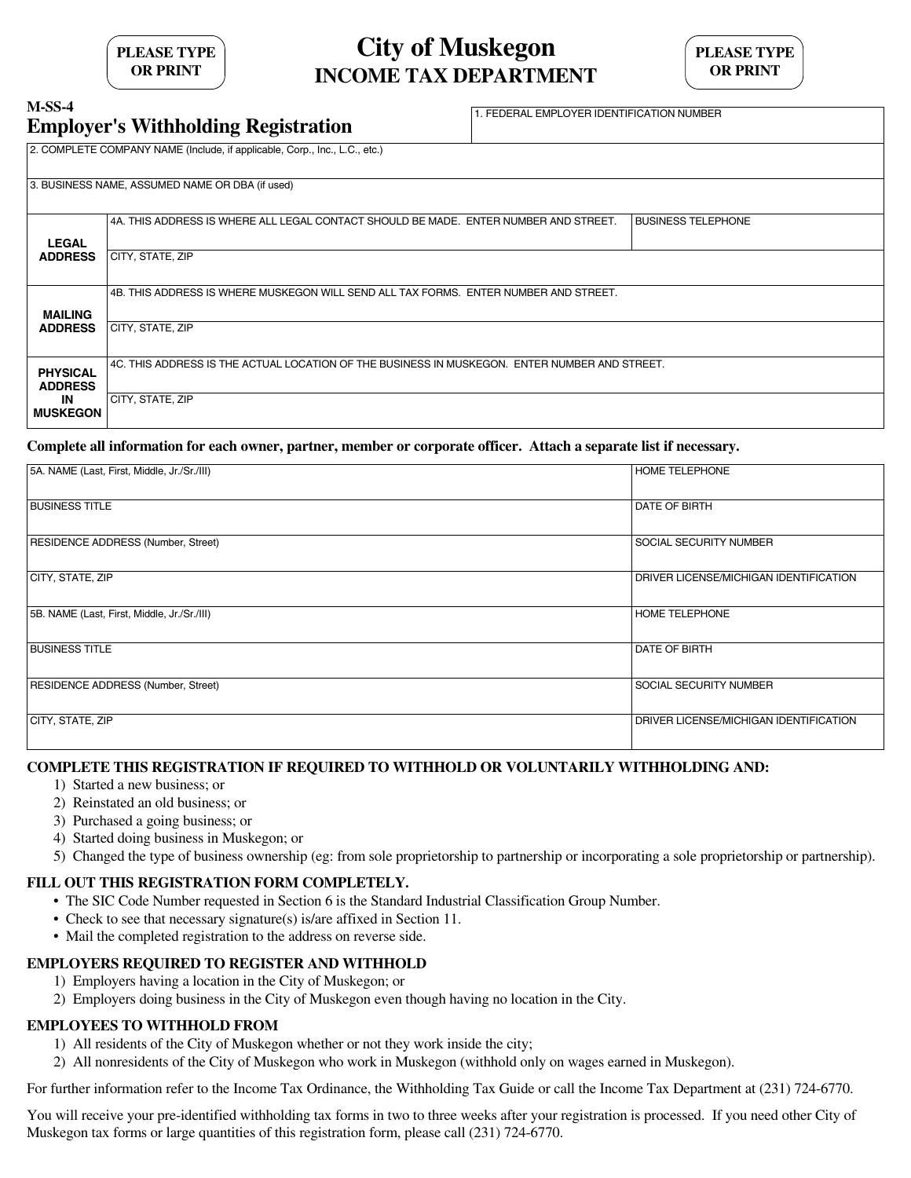| PLEASE TYPE |
|-------------|
| OR PRINT    |
|             |

# **City of Muskegon INCOME TAX DEPARTMENT**

| <b>PLEASE TYPE</b> |  |
|--------------------|--|
| <b>OR PRINT</b>    |  |

## **M-SS-4 Employer's Withholding Registration**

1. FEDERAL EMPLOYER IDENTIFICATION NUMBER

| 2. COMPLETE COMPANY NAME (Include, if applicable, Corp., Inc., L.C., etc.) |                                                                                               |  |                           |  |  |  |  |
|----------------------------------------------------------------------------|-----------------------------------------------------------------------------------------------|--|---------------------------|--|--|--|--|
|                                                                            |                                                                                               |  |                           |  |  |  |  |
| 3. BUSINESS NAME, ASSUMED NAME OR DBA (if used)                            |                                                                                               |  |                           |  |  |  |  |
|                                                                            |                                                                                               |  |                           |  |  |  |  |
|                                                                            | 4A. THIS ADDRESS IS WHERE ALL LEGAL CONTACT SHOULD BE MADE. ENTER NUMBER AND STREET.          |  | <b>BUSINESS TELEPHONE</b> |  |  |  |  |
| <b>LEGAL</b>                                                               |                                                                                               |  |                           |  |  |  |  |
| <b>ADDRESS</b>                                                             | CITY, STATE, ZIP                                                                              |  |                           |  |  |  |  |
|                                                                            |                                                                                               |  |                           |  |  |  |  |
|                                                                            | 4B. THIS ADDRESS IS WHERE MUSKEGON WILL SEND ALL TAX FORMS. ENTER NUMBER AND STREET.          |  |                           |  |  |  |  |
| <b>MAILING</b>                                                             |                                                                                               |  |                           |  |  |  |  |
| <b>ADDRESS</b>                                                             | CITY, STATE, ZIP                                                                              |  |                           |  |  |  |  |
|                                                                            |                                                                                               |  |                           |  |  |  |  |
| <b>PHYSICAL</b>                                                            | 4C. THIS ADDRESS IS THE ACTUAL LOCATION OF THE BUSINESS IN MUSKEGON. ENTER NUMBER AND STREET. |  |                           |  |  |  |  |
| <b>ADDRESS</b>                                                             |                                                                                               |  |                           |  |  |  |  |
| IN                                                                         | CITY, STATE, ZIP                                                                              |  |                           |  |  |  |  |
| <b>MUSKEGON</b>                                                            |                                                                                               |  |                           |  |  |  |  |

#### **Complete all information for each owner, partner, member or corporate officer. Attach a separate list if necessary.**

| 5A. NAME (Last, First, Middle, Jr./Sr./III) | <b>HOME TELEPHONE</b>                  |
|---------------------------------------------|----------------------------------------|
| <b>BUSINESS TITLE</b>                       | <b>DATE OF BIRTH</b>                   |
| <b>RESIDENCE ADDRESS (Number, Street)</b>   | SOCIAL SECURITY NUMBER                 |
| CITY, STATE, ZIP                            | DRIVER LICENSE/MICHIGAN IDENTIFICATION |
| 5B. NAME (Last, First, Middle, Jr./Sr./III) | <b>HOME TELEPHONE</b>                  |
| <b>BUSINESS TITLE</b>                       | <b>DATE OF BIRTH</b>                   |
| RESIDENCE ADDRESS (Number, Street)          | SOCIAL SECURITY NUMBER                 |
| CITY, STATE, ZIP                            | DRIVER LICENSE/MICHIGAN IDENTIFICATION |

#### **COMPLETE THIS REGISTRATION IF REQUIRED TO WITHHOLD OR VOLUNTARILY WITHHOLDING AND:**

- 1) Started a new business; or
- 2) Reinstated an old business; or
- 3) Purchased a going business; or
- 4) Started doing business in Muskegon; or
- 5) Changed the type of business ownership (eg: from sole proprietorship to partnership or incorporating a sole proprietorship or partnership).

## **FILL OUT THIS REGISTRATION FORM COMPLETELY.**

- The SIC Code Number requested in Section 6 is the Standard Industrial Classification Group Number.
- Check to see that necessary signature(s) is/are affixed in Section 11.
- Mail the completed registration to the address on reverse side.

## **EMPLOYERS REQUIRED TO REGISTER AND WITHHOLD**

- 1) Employers having a location in the City of Muskegon; or
- 2) Employers doing business in the City of Muskegon even though having no location in the City.

# **EMPLOYEES TO WITHHOLD FROM**

- 1) All residents of the City of Muskegon whether or not they work inside the city;
- 2) All nonresidents of the City of Muskegon who work in Muskegon (withhold only on wages earned in Muskegon).

For further information refer to the Income Tax Ordinance, the Withholding Tax Guide or call the Income Tax Department at (231) 724-6770.

You will receive your pre-identified withholding tax forms in two to three weeks after your registration is processed. If you need other City of Muskegon tax forms or large quantities of this registration form, please call (231) 724-6770.